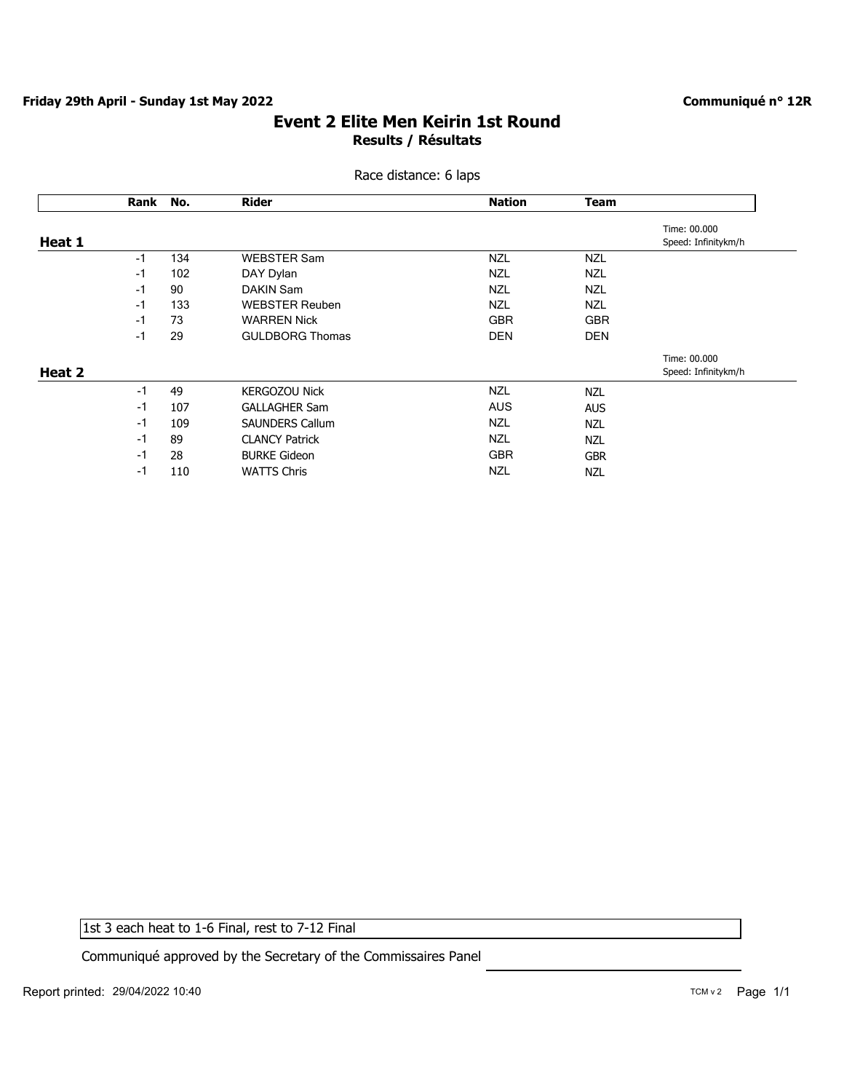#### **Communiqué n° 12R**

### **Event 2 Elite Men Keirin 1st Round Results / Résultats**

|        | Rank | No. | <b>Rider</b>           | <b>Nation</b> | <b>Team</b> |                     |
|--------|------|-----|------------------------|---------------|-------------|---------------------|
|        |      |     |                        |               |             | Time: 00.000        |
| Heat 1 |      |     |                        |               |             | Speed: Infinitykm/h |
|        | $-1$ | 134 | <b>WEBSTER Sam</b>     | <b>NZL</b>    | <b>NZL</b>  |                     |
|        | -1   | 102 | DAY Dylan              | <b>NZL</b>    | <b>NZL</b>  |                     |
|        | -1   | 90  | DAKIN Sam              | <b>NZL</b>    | <b>NZL</b>  |                     |
|        | -1   | 133 | <b>WEBSTER Reuben</b>  | <b>NZL</b>    | <b>NZL</b>  |                     |
|        | -1   | 73  | <b>WARREN Nick</b>     | <b>GBR</b>    | <b>GBR</b>  |                     |
|        | $-1$ | 29  | <b>GULDBORG Thomas</b> | <b>DEN</b>    | <b>DEN</b>  |                     |
|        |      |     |                        |               |             | Time: 00.000        |
| Heat 2 |      |     |                        |               |             | Speed: Infinitykm/h |
|        | $-1$ | 49  | <b>KERGOZOU Nick</b>   | <b>NZL</b>    | <b>NZL</b>  |                     |
|        | $-1$ | 107 | <b>GALLAGHER Sam</b>   | <b>AUS</b>    | <b>AUS</b>  |                     |
|        | -1   | 109 | <b>SAUNDERS Callum</b> | <b>NZL</b>    | <b>NZL</b>  |                     |
|        | $-1$ | 89  | <b>CLANCY Patrick</b>  | <b>NZL</b>    | <b>NZL</b>  |                     |
|        | $-1$ | 28  | <b>BURKE Gideon</b>    | <b>GBR</b>    | <b>GBR</b>  |                     |
|        | $-1$ | 110 | <b>WATTS Chris</b>     | <b>NZL</b>    | <b>NZL</b>  |                     |

Race distance: 6 laps

1st 3 each heat to 1-6 Final, rest to 7-12 Final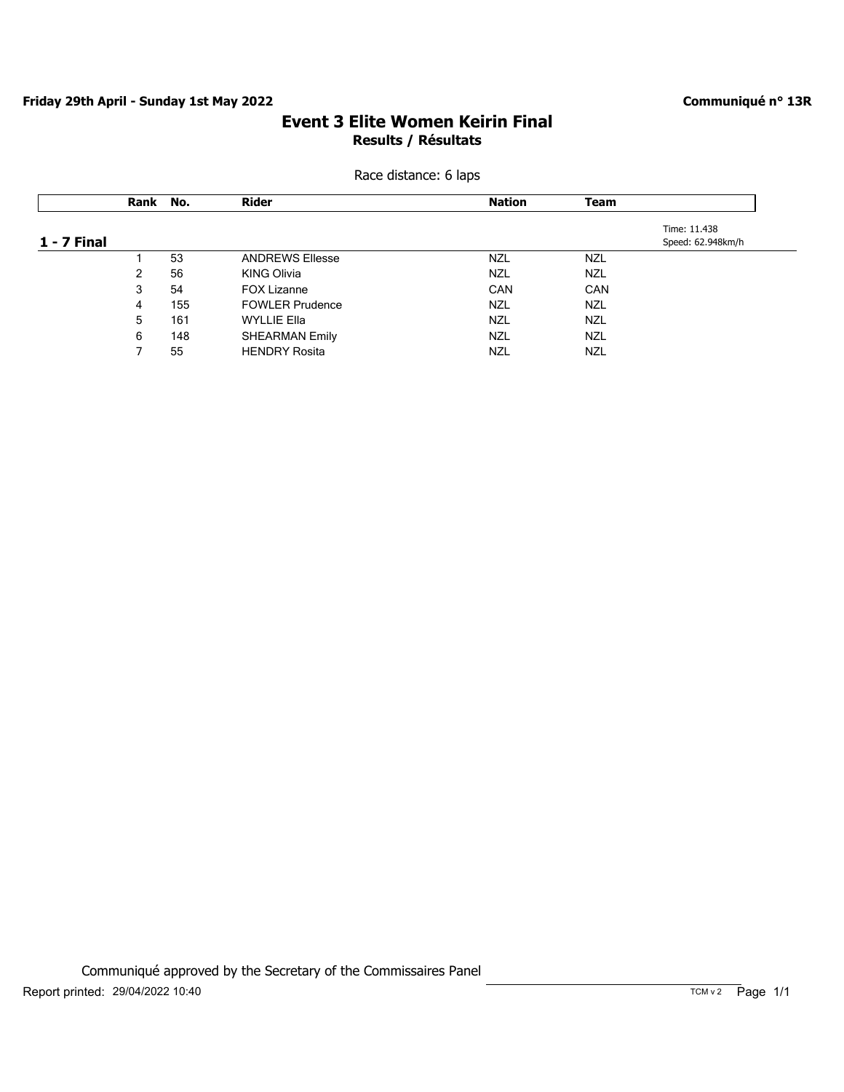### **Event 3 Elite Women Keirin Final Results / Résultats**

|                    | Rank | No. | <b>Rider</b>           | <b>Nation</b> | Team       |                                   |
|--------------------|------|-----|------------------------|---------------|------------|-----------------------------------|
| <b>1 - 7 Final</b> |      |     |                        |               |            | Time: 11.438<br>Speed: 62.948km/h |
|                    |      | 53  | <b>ANDREWS Ellesse</b> | <b>NZL</b>    | <b>NZL</b> |                                   |
|                    | 2    | 56  | <b>KING Olivia</b>     | <b>NZL</b>    | <b>NZL</b> |                                   |
|                    | 3    | 54  | <b>FOX Lizanne</b>     | <b>CAN</b>    | CAN        |                                   |
|                    | 4    | 155 | <b>FOWLER Prudence</b> | <b>NZL</b>    | <b>NZL</b> |                                   |
|                    | 5    | 161 | <b>WYLLIE Ella</b>     | <b>NZL</b>    | <b>NZL</b> |                                   |
|                    | 6    | 148 | <b>SHEARMAN Emily</b>  | <b>NZL</b>    | <b>NZL</b> |                                   |
|                    |      | 55  | <b>HENDRY Rosita</b>   | <b>NZL</b>    | <b>NZL</b> |                                   |

#### Race distance: 6 laps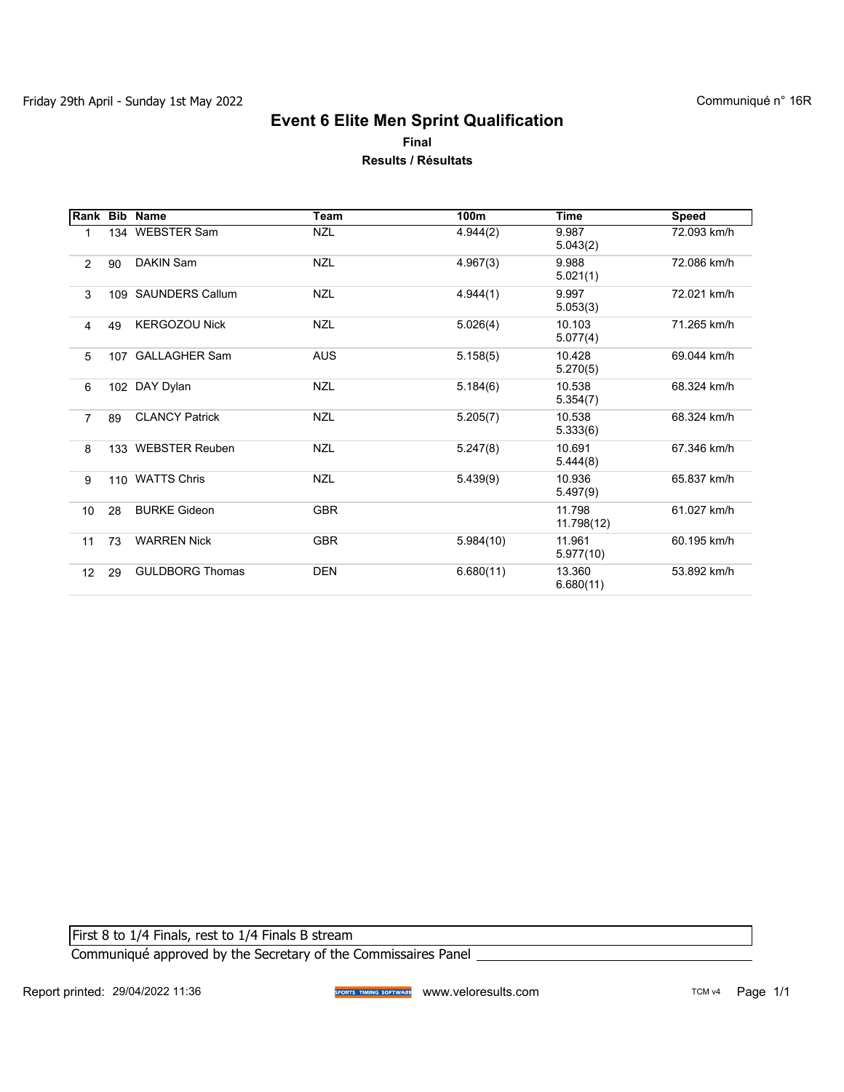### **Event 6 Elite Men Sprint Qualification Final Results / Résultats**

|                |     | Rank Bib Name          | Team       | 100m      | <b>Time</b>          | Speed       |
|----------------|-----|------------------------|------------|-----------|----------------------|-------------|
|                |     | 134 WEBSTER Sam        | <b>NZL</b> | 4.944(2)  | 9.987<br>5.043(2)    | 72.093 km/h |
| 2              | 90  | <b>DAKIN Sam</b>       | <b>NZL</b> | 4.967(3)  | 9.988<br>5.021(1)    | 72.086 km/h |
| 3              | 109 | <b>SAUNDERS Callum</b> | <b>NZL</b> | 4.944(1)  | 9.997<br>5.053(3)    | 72.021 km/h |
| $\overline{4}$ | 49  | <b>KERGOZOU Nick</b>   | <b>NZL</b> | 5.026(4)  | 10.103<br>5.077(4)   | 71.265 km/h |
| 5              | 107 | <b>GALLAGHER Sam</b>   | <b>AUS</b> | 5.158(5)  | 10.428<br>5.270(5)   | 69.044 km/h |
| 6              |     | 102 DAY Dylan          | <b>NZL</b> | 5.184(6)  | 10.538<br>5.354(7)   | 68.324 km/h |
| $\overline{7}$ | 89  | <b>CLANCY Patrick</b>  | <b>NZL</b> | 5.205(7)  | 10.538<br>5.333(6)   | 68.324 km/h |
| 8              |     | 133 WEBSTER Reuben     | <b>NZL</b> | 5.247(8)  | 10.691<br>5.444(8)   | 67.346 km/h |
| 9              |     | 110 WATTS Chris        | <b>NZL</b> | 5.439(9)  | 10.936<br>5.497(9)   | 65.837 km/h |
| 10             | 28  | <b>BURKE Gideon</b>    | <b>GBR</b> |           | 11.798<br>11.798(12) | 61.027 km/h |
| 11             | 73  | <b>WARREN Nick</b>     | <b>GBR</b> | 5.984(10) | 11.961<br>5.977(10)  | 60.195 km/h |
| 12             | 29  | <b>GULDBORG Thomas</b> | <b>DEN</b> | 6.680(11) | 13.360<br>6.680(11)  | 53.892 km/h |

First 8 to 1/4 Finals, rest to 1/4 Finals B stream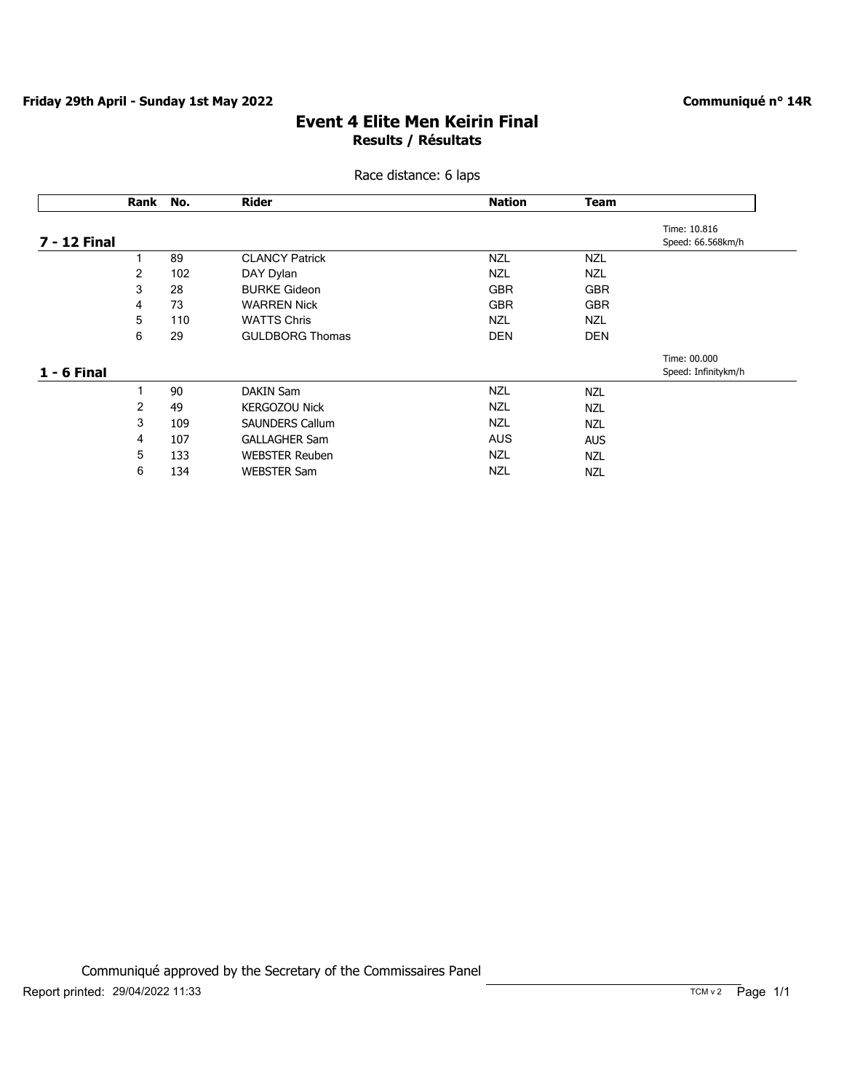### **Event 4 Elite Men Keirin Final Results / Résultats**

| Race distance: 6 laps |  |
|-----------------------|--|
|                       |  |

|                     | Rank           | No. | <b>Rider</b>           | <b>Nation</b> | <b>Team</b> |                     |
|---------------------|----------------|-----|------------------------|---------------|-------------|---------------------|
|                     |                |     |                        |               |             | Time: 10.816        |
| <b>7 - 12 Final</b> |                |     |                        |               |             | Speed: 66.568km/h   |
|                     |                | 89  | <b>CLANCY Patrick</b>  | <b>NZL</b>    | <b>NZL</b>  |                     |
|                     | 2              | 102 | DAY Dylan              | <b>NZL</b>    | <b>NZL</b>  |                     |
|                     | 3              | 28  | <b>BURKE Gideon</b>    | <b>GBR</b>    | <b>GBR</b>  |                     |
|                     | 4              | 73  | <b>WARREN Nick</b>     | <b>GBR</b>    | <b>GBR</b>  |                     |
|                     | 5              | 110 | <b>WATTS Chris</b>     | <b>NZL</b>    | <b>NZL</b>  |                     |
|                     | 6              | 29  | <b>GULDBORG Thomas</b> | <b>DEN</b>    | <b>DEN</b>  |                     |
|                     |                |     |                        |               |             | Time: 00.000        |
| $1 - 6$ Final       |                |     |                        |               |             | Speed: Infinitykm/h |
|                     | 1              | 90  | <b>DAKIN Sam</b>       | <b>NZL</b>    | <b>NZL</b>  |                     |
|                     | $\overline{2}$ | 49  | <b>KERGOZOU Nick</b>   | <b>NZL</b>    | <b>NZL</b>  |                     |
|                     | 3              | 109 | <b>SAUNDERS Callum</b> | <b>NZL</b>    | <b>NZL</b>  |                     |
|                     | 4              | 107 | <b>GALLAGHER Sam</b>   | <b>AUS</b>    | <b>AUS</b>  |                     |
|                     | 5              | 133 | <b>WEBSTER Reuben</b>  | <b>NZL</b>    | <b>NZL</b>  |                     |
|                     | 6              | 134 | <b>WEBSTER Sam</b>     | <b>NZL</b>    | NZL         |                     |
|                     |                |     |                        |               |             |                     |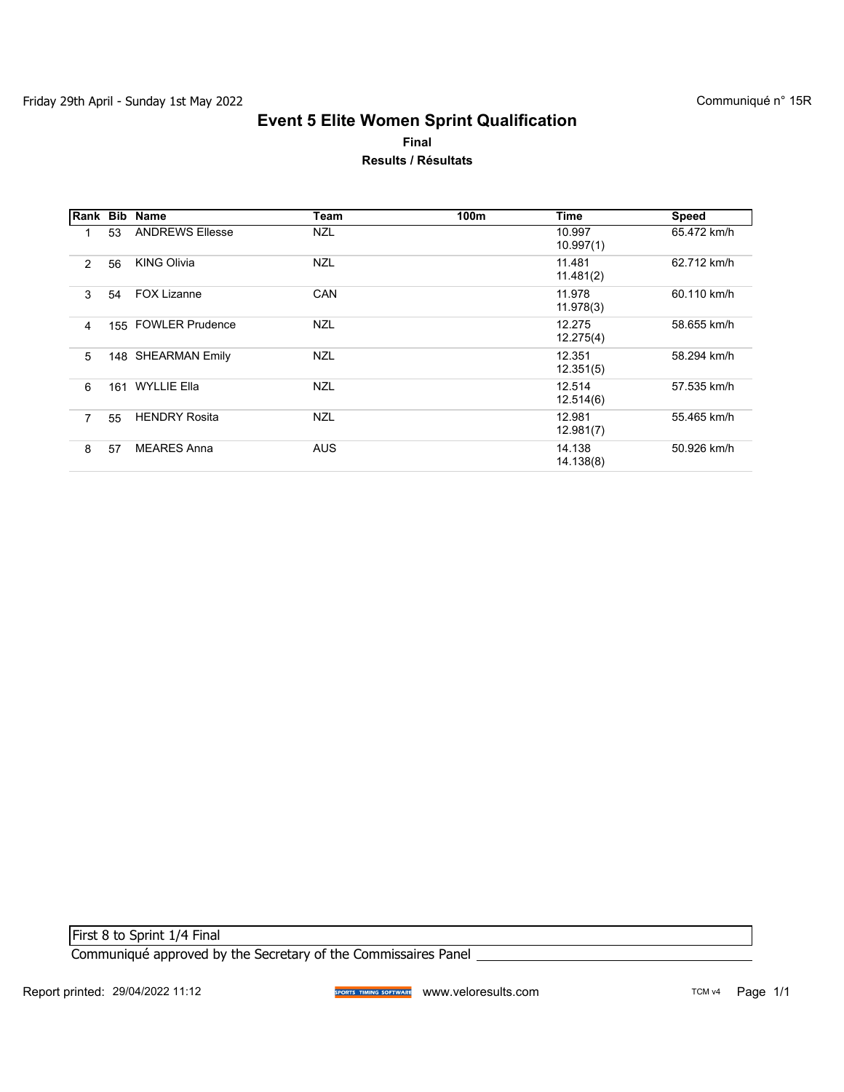### **Event 5 Elite Women Sprint Qualification Final Results / Résultats**

|   |     | <b>Rank Bib Name</b>   | Team       | 100m | <b>Time</b>         | Speed       |  |
|---|-----|------------------------|------------|------|---------------------|-------------|--|
|   | 53  | <b>ANDREWS Ellesse</b> | <b>NZL</b> |      | 10.997<br>10.997(1) | 65.472 km/h |  |
| 2 | 56  | <b>KING Olivia</b>     | <b>NZL</b> |      | 11.481<br>11.481(2) | 62.712 km/h |  |
| 3 | 54  | <b>FOX Lizanne</b>     | <b>CAN</b> |      | 11.978<br>11.978(3) | 60.110 km/h |  |
| 4 |     | 155 FOWLER Prudence    | <b>NZL</b> |      | 12.275<br>12.275(4) | 58.655 km/h |  |
| 5 |     | 148 SHEARMAN Emily     | <b>NZL</b> |      | 12.351<br>12.351(5) | 58.294 km/h |  |
| 6 | 161 | <b>WYLLIE Ella</b>     | <b>NZL</b> |      | 12.514<br>12.514(6) | 57.535 km/h |  |
| 7 | 55  | <b>HENDRY Rosita</b>   | <b>NZL</b> |      | 12.981<br>12.981(7) | 55.465 km/h |  |
| 8 | 57  | <b>MEARES Anna</b>     | <b>AUS</b> |      | 14.138<br>14.138(8) | 50.926 km/h |  |

First 8 to Sprint 1/4 Final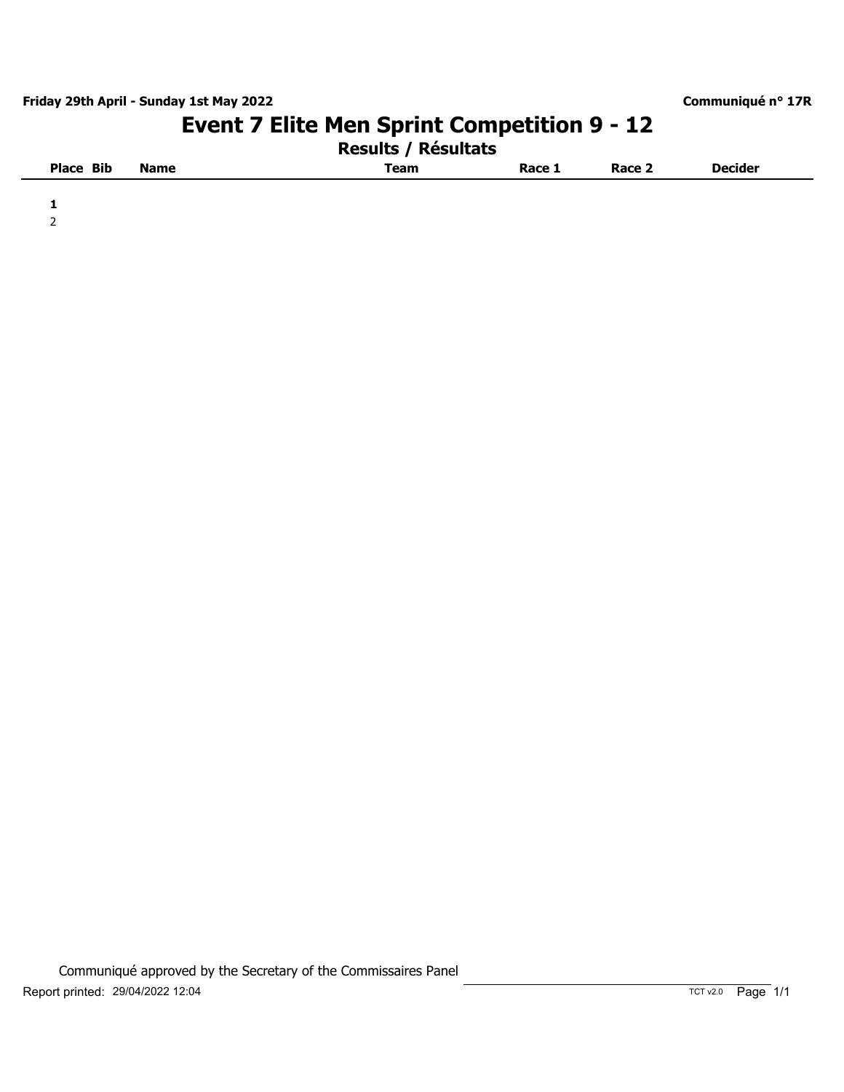## **Event 7 Elite Men Sprint Competition 9 - 12**

| <b>Results / Résultats</b>      |             |        |        |                |  |  |  |  |
|---------------------------------|-------------|--------|--------|----------------|--|--|--|--|
| <b>Place Bib</b><br><b>Name</b> | <b>Team</b> | Race 1 | Race 2 | <b>Decider</b> |  |  |  |  |
|                                 |             |        |        |                |  |  |  |  |
| ı                               |             |        |        |                |  |  |  |  |
|                                 |             |        |        |                |  |  |  |  |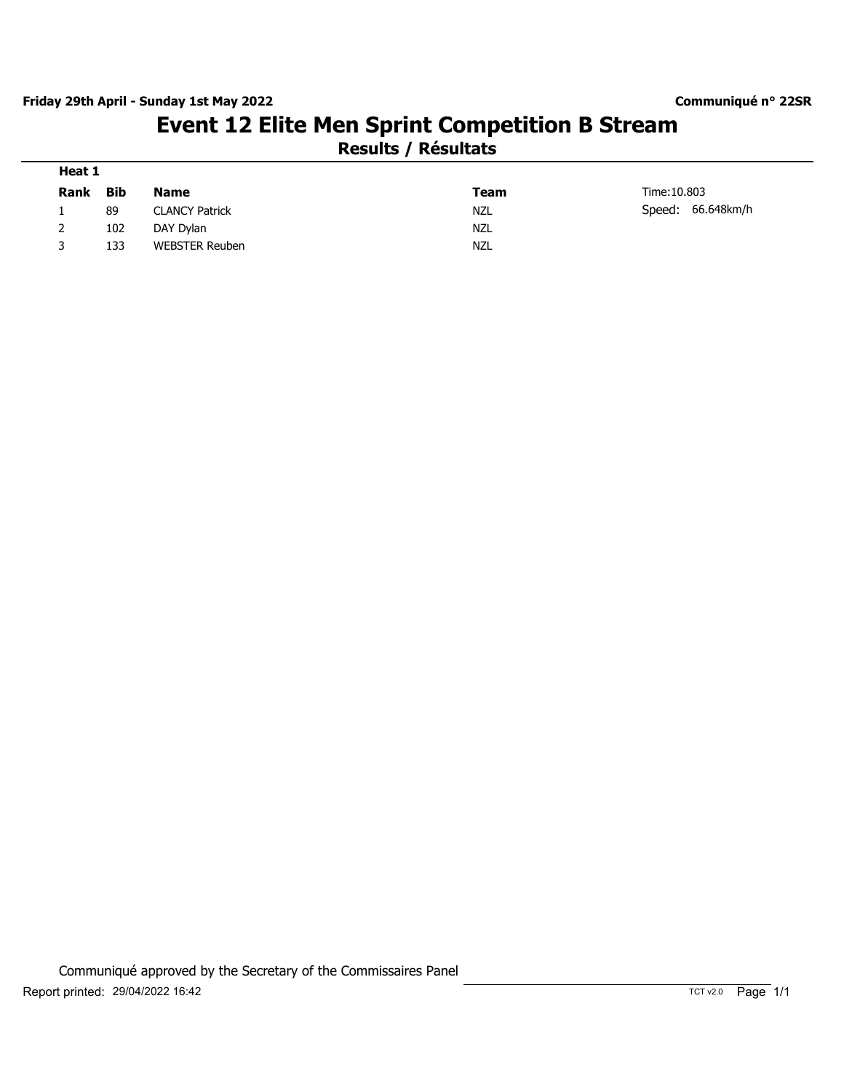#### **Communiqué n° 22SR**

## **Event 12 Elite Men Sprint Competition B Stream**

**Results / Résultats**

| Heat 1      |     |                       |      |                   |
|-------------|-----|-----------------------|------|-------------------|
| <b>Rank</b> | Bib | <b>Name</b>           | Team | Time: 10.803      |
|             | 89  | <b>CLANCY Patrick</b> | NZL  | Speed: 66.648km/h |
|             | 102 | DAY Dylan             | NZL  |                   |
| ર           | 133 | <b>WEBSTER Reuben</b> | NZL  |                   |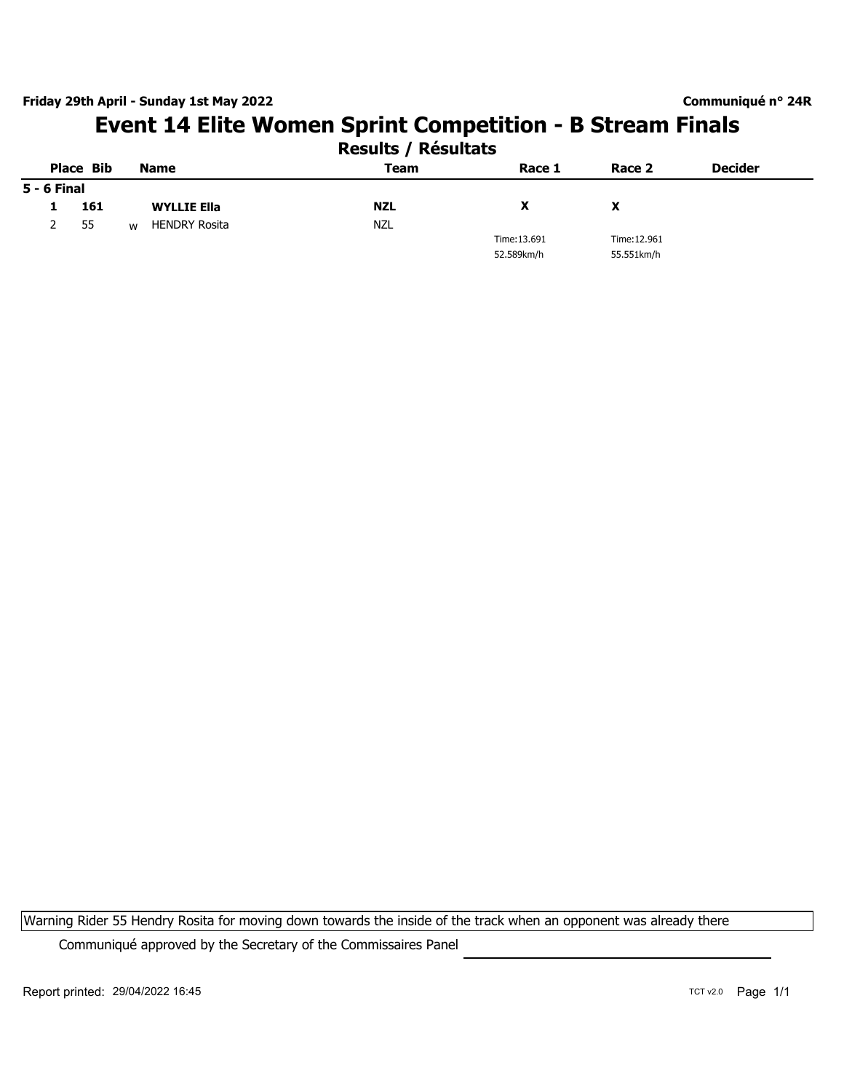#### **Communiqué n° 24R**

## **Event 14 Elite Women Sprint Competition - B Stream Finals**

|               | Results / Résultats |                           |             |              |              |                |  |  |  |  |
|---------------|---------------------|---------------------------|-------------|--------------|--------------|----------------|--|--|--|--|
|               | <b>Place Bib</b>    | <b>Name</b>               | <b>Team</b> | Race 1       | Race 2       | <b>Decider</b> |  |  |  |  |
| $5 - 6$ Final |                     |                           |             |              |              |                |  |  |  |  |
|               | 161                 | <b>WYLLIE Ella</b>        | <b>NZL</b>  | x            | X            |                |  |  |  |  |
|               | 55                  | <b>HENDRY Rosita</b><br>W | <b>NZL</b>  |              |              |                |  |  |  |  |
|               |                     |                           |             | Time: 13.691 | Time: 12.961 |                |  |  |  |  |
|               |                     |                           |             | 52.589km/h   | 55.551km/h   |                |  |  |  |  |

Warning Rider 55 Hendry Rosita for moving down towards the inside of the track when an opponent was already there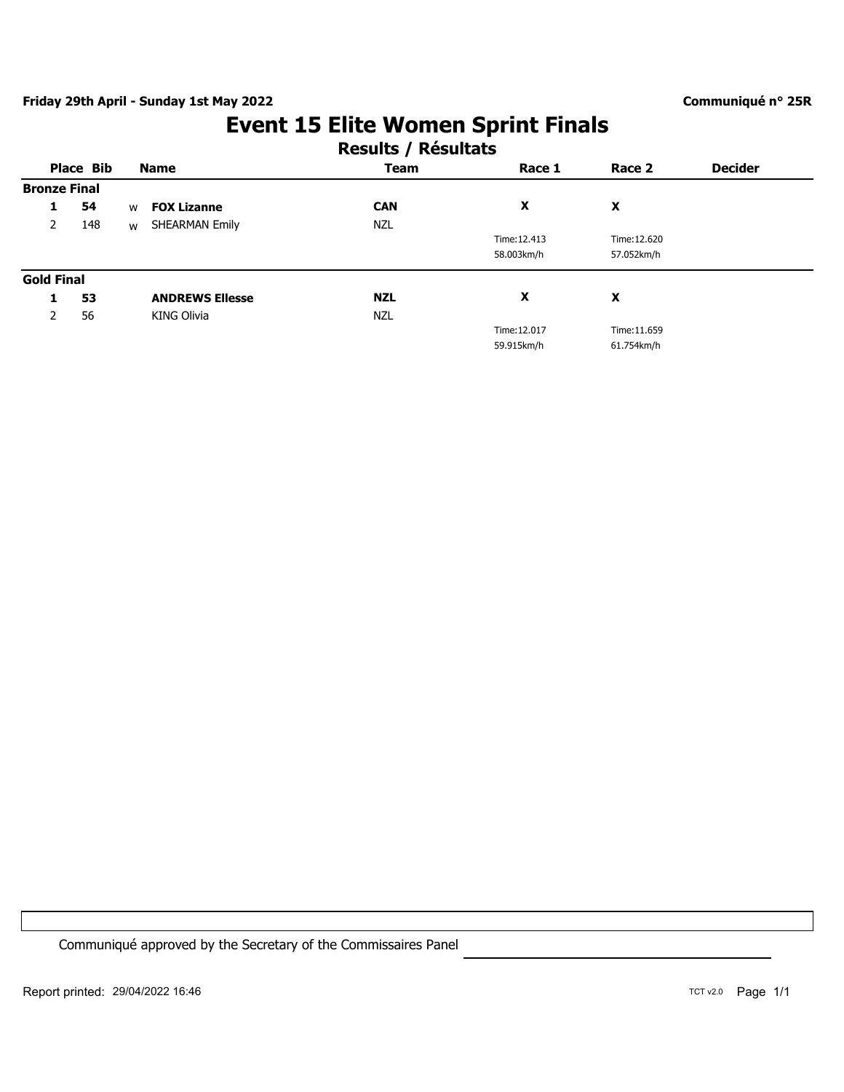#### **Communiqué n° 25R**

## **Event 15 Elite Women Sprint Finals**

|                                         |     |   |                               | Results / Résultats |              |              |                |
|-----------------------------------------|-----|---|-------------------------------|---------------------|--------------|--------------|----------------|
| <b>Place Bib</b><br><b>Bronze Final</b> |     |   | Race 1<br>Team<br><b>Name</b> |                     |              | Race 2       | <b>Decider</b> |
|                                         |     |   |                               |                     |              |              |                |
| 1                                       | 54  | W | <b>FOX Lizanne</b>            | <b>CAN</b>          | X            | X            |                |
| 2                                       | 148 | W | <b>SHEARMAN Emily</b>         | NZL                 |              |              |                |
|                                         |     |   |                               |                     | Time: 12,413 | Time: 12.620 |                |
|                                         |     |   |                               |                     | 58.003km/h   | 57.052km/h   |                |
| <b>Gold Final</b>                       |     |   |                               |                     |              |              |                |
| 1                                       | 53  |   | <b>ANDREWS Ellesse</b>        | <b>NZL</b>          | X            | X            |                |
| 2                                       | 56  |   | <b>KING Olivia</b>            | <b>NZL</b>          |              |              |                |
|                                         |     |   |                               |                     | Time: 12.017 | Time: 11.659 |                |
|                                         |     |   |                               |                     | 59.915km/h   | 61.754km/h   |                |
|                                         |     |   |                               |                     |              |              |                |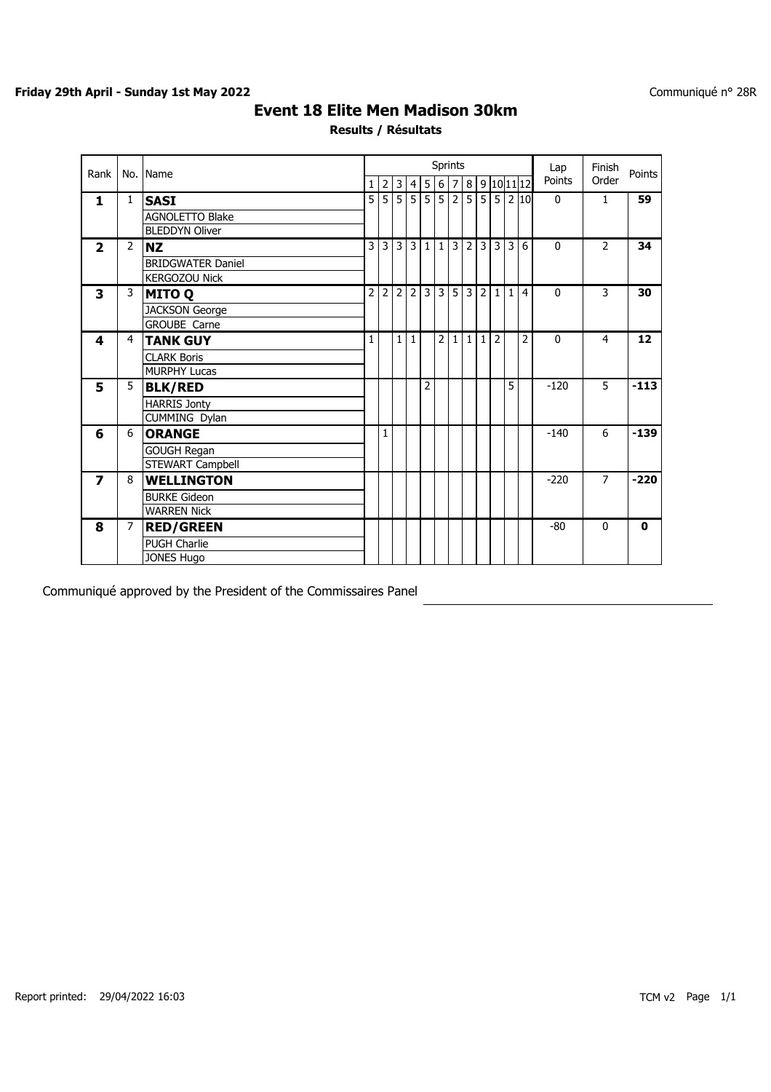## **Event 18 Elite Men Madison 30km**

| Rank                    |              | No. Name                              | Sprints        |                 |                |                |   |                |                  |   |              |                |           | Lap            | Finish       | Points         |             |
|-------------------------|--------------|---------------------------------------|----------------|-----------------|----------------|----------------|---|----------------|------------------|---|--------------|----------------|-----------|----------------|--------------|----------------|-------------|
|                         |              |                                       |                | $1\vert 2$      | 3              | 4              | 5 |                | 6 7 8 9 10 11 12 |   |              |                |           |                | Points       | Order          |             |
| 1                       | $\mathbf{1}$ | <b>SASI</b>                           |                | $5\overline{5}$ | 5              | 5              |   |                | 5 5 2 5          |   |              |                |           | 5 5 2 10       | $\mathbf{0}$ | $\mathbf{1}$   | 59          |
|                         |              | <b>AGNOLETTO Blake</b>                |                |                 |                |                |   |                |                  |   |              |                |           |                |              |                |             |
|                         |              | <b>BLEDDYN Oliver</b>                 |                |                 |                |                |   |                |                  |   |              |                |           |                |              |                |             |
| $\overline{2}$          | 2            | <b>NZ</b>                             |                | 3 3             |                | 3 3            |   |                | 1 1 3 2          |   |              | 3 3            | 3 6       |                | 0            | $\overline{2}$ | 34          |
|                         |              | <b>BRIDGWATER Daniel</b>              |                |                 |                |                |   |                |                  |   |              |                |           |                |              |                |             |
|                         |              | <b>KERGOZOU Nick</b>                  |                |                 |                |                |   |                |                  |   |              |                |           |                |              |                |             |
| 3                       | 3            | <b>MITO Q</b>                         | $\overline{2}$ | $\overline{2}$  | 2 <sup>1</sup> | $\overline{2}$ |   | 3 3 5 3        |                  |   |              | 2 1            | $\vert$ 1 | $\overline{4}$ | $\mathbf{0}$ | 3              | 30          |
|                         |              | <b>JACKSON George</b>                 |                |                 |                |                |   |                |                  |   |              |                |           |                |              |                |             |
|                         |              | GROUBE Carne                          |                |                 |                |                |   |                |                  |   |              |                |           |                |              |                |             |
| 4                       | 4            | <b>TANK GUY</b>                       | 1              |                 | $\mathbf{1}$   | $\mathbf{1}$   |   | $\overline{2}$ | $\mathbf{1}$     | 1 | $\mathbf{1}$ | $\overline{2}$ |           | $\overline{2}$ | 0            | 4              | 12          |
|                         |              | <b>CLARK Boris</b>                    |                |                 |                |                |   |                |                  |   |              |                |           |                |              |                |             |
|                         |              | <b>MURPHY Lucas</b>                   |                |                 |                |                |   |                |                  |   |              |                |           |                |              |                |             |
| 5                       | 5            | <b>BLK/RED</b><br><b>HARRIS Jonty</b> |                |                 |                |                | 2 |                |                  |   |              |                | 5         |                | $-120$       | 5              | $-113$      |
|                         |              |                                       |                |                 |                |                |   |                |                  |   |              |                |           |                |              |                |             |
|                         |              | CUMMING Dylan                         |                |                 |                |                |   |                |                  |   |              |                |           |                |              |                |             |
| 6                       | 6            | <b>ORANGE</b>                         |                |                 |                |                |   |                |                  |   |              |                |           |                | $-140$       | 6              | $-139$      |
|                         |              | GOUGH Regan                           |                |                 |                |                |   |                |                  |   |              |                |           |                |              |                |             |
|                         |              | <b>STEWART Campbell</b>               |                |                 |                |                |   |                |                  |   |              |                |           |                |              |                |             |
| $\overline{\mathbf{z}}$ | 8            | <b>WELLINGTON</b>                     |                |                 |                |                |   |                |                  |   |              |                |           |                | $-220$       | $\overline{7}$ | $-220$      |
|                         |              | <b>BURKE Gideon</b>                   |                |                 |                |                |   |                |                  |   |              |                |           |                |              |                |             |
|                         |              | <b>WARREN Nick</b>                    |                |                 |                |                |   |                |                  |   |              |                |           |                |              |                |             |
| 8                       |              | <b>RED/GREEN</b>                      |                |                 |                |                |   |                |                  |   |              |                |           |                | $-80$        | $\Omega$       | $\mathbf 0$ |
|                         |              | <b>PUGH Charlie</b>                   |                |                 |                |                |   |                |                  |   |              |                |           |                |              |                |             |
|                         |              | <b>JONES Hugo</b>                     |                |                 |                |                |   |                |                  |   |              |                |           |                |              |                |             |

**Results / Résultats**